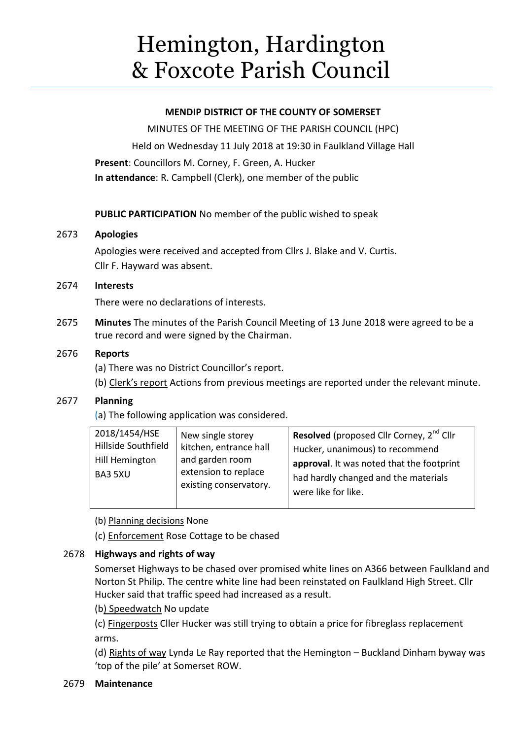# Hemington, Hardington & Foxcote Parish Council

### **MENDIP DISTRICT OF THE COUNTY OF SOMERSET**

MINUTES OF THE MEETING OF THE PARISH COUNCIL (HPC) Held on Wednesday 11 July 2018 at 19:30 in Faulkland Village Hall **Present**: Councillors M. Corney, F. Green, A. Hucker **In attendance**: R. Campbell (Clerk), one member of the public

**PUBLIC PARTICIPATION** No member of the public wished to speak

## 2673 **Apologies**

Apologies were received and accepted from Cllrs J. Blake and V. Curtis. Cllr F. Hayward was absent.

## 2674 **Interests**

There were no declarations of interests.

2675 **Minutes** The minutes of the Parish Council Meeting of 13 June 2018 were agreed to be a true record and were signed by the Chairman.

## 2676 **Reports**

(a) There was no District Councillor's report.

(b) Clerk's report Actions from previous meetings are reported under the relevant minute.

## 2677 **Planning**

(a) The following application was considered.

| 2018/1454/HSE<br>Hillside Southfield<br>Hill Hemington<br>BA3 5XU | New single storey<br>kitchen, entrance hall<br>and garden room<br>extension to replace<br>existing conservatory. | <b>Resolved</b> (proposed Cllr Corney, 2 <sup>nd</sup> Cllr<br>Hucker, unanimous) to recommend<br>approval. It was noted that the footprint<br>had hardly changed and the materials<br>were like for like. |
|-------------------------------------------------------------------|------------------------------------------------------------------------------------------------------------------|------------------------------------------------------------------------------------------------------------------------------------------------------------------------------------------------------------|
|-------------------------------------------------------------------|------------------------------------------------------------------------------------------------------------------|------------------------------------------------------------------------------------------------------------------------------------------------------------------------------------------------------------|

(b) Planning decisions None

(c) Enforcement Rose Cottage to be chased

## 2678 **Highways and rights of way**

Somerset Highways to be chased over promised white lines on A366 between Faulkland and Norton St Philip. The centre white line had been reinstated on Faulkland High Street. Cllr Hucker said that traffic speed had increased as a result.

(b) Speedwatch No update

(c) Fingerposts Cller Hucker was still trying to obtain a price for fibreglass replacement arms.

(d) Rights of way Lynda Le Ray reported that the Hemington – Buckland Dinham byway was 'top of the pile' at Somerset ROW.

## 2679 **Maintenance**